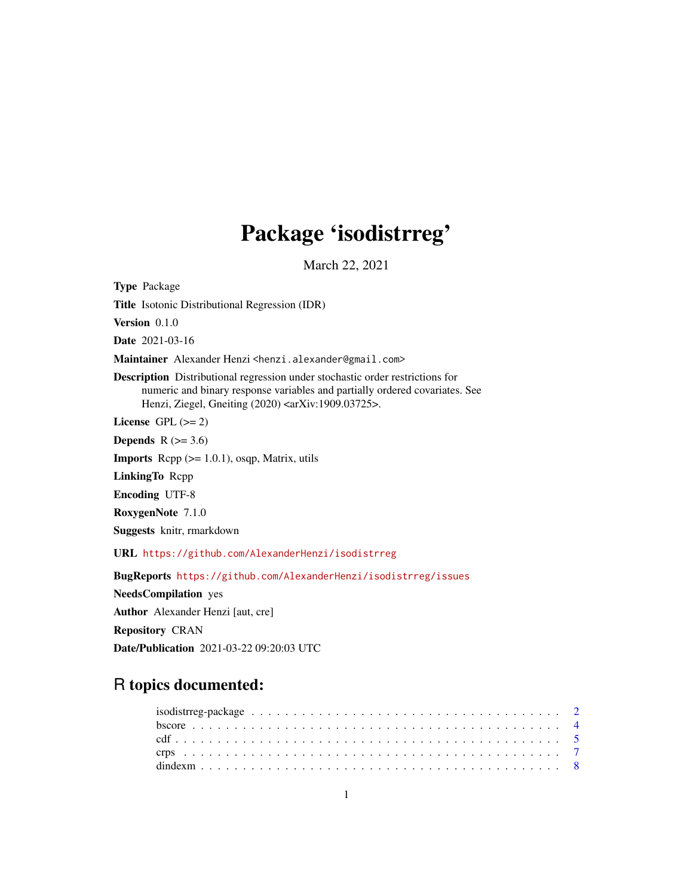## Package 'isodistrreg'

March 22, 2021

<span id="page-0-0"></span>Type Package

Title Isotonic Distributional Regression (IDR)

Version 0.1.0

Date 2021-03-16

Maintainer Alexander Henzi <henzi.alexander@gmail.com>

Description Distributional regression under stochastic order restrictions for numeric and binary response variables and partially ordered covariates. See Henzi, Ziegel, Gneiting (2020) <arXiv:1909.03725>.

License GPL  $(>= 2)$ 

Depends  $R$  ( $>= 3.6$ )

**Imports** Rcpp  $(>= 1.0.1)$ , osqp, Matrix, utils

LinkingTo Rcpp

Encoding UTF-8

RoxygenNote 7.1.0

Suggests knitr, rmarkdown

URL <https://github.com/AlexanderHenzi/isodistrreg>

BugReports <https://github.com/AlexanderHenzi/isodistrreg/issues>

NeedsCompilation yes

Author Alexander Henzi [aut, cre]

Repository CRAN

Date/Publication 2021-03-22 09:20:03 UTC

### R topics documented: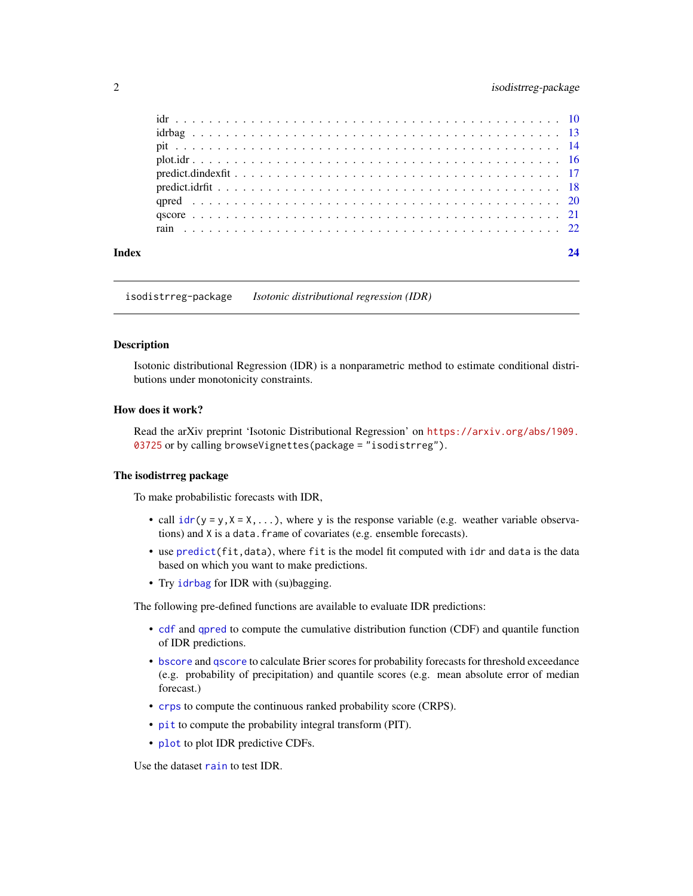<span id="page-1-0"></span>

| Index |  |  |  |
|-------|--|--|--|
|       |  |  |  |
|       |  |  |  |
|       |  |  |  |
|       |  |  |  |
|       |  |  |  |
|       |  |  |  |
|       |  |  |  |
|       |  |  |  |
|       |  |  |  |

isodistrreg-package *Isotonic distributional regression (IDR)*

#### Description

Isotonic distributional Regression (IDR) is a nonparametric method to estimate conditional distributions under monotonicity constraints.

#### How does it work?

Read the arXiv preprint 'Isotonic Distributional Regression' on [https://arxiv.org/abs/1909.](https://arxiv.org/abs/1909.03725) [03725](https://arxiv.org/abs/1909.03725) or by calling browseVignettes(package = "isodistrreg").

#### The isodistrreg package

To make probabilistic forecasts with IDR,

- call  $idr(y = y, X = X, \ldots)$  $idr(y = y, X = X, \ldots)$ , where y is the response variable (e.g. weather variable observations) and X is a data.frame of covariates (e.g. ensemble forecasts).
- use [predict\(](#page-17-1)fit,data), where fit is the model fit computed with idr and data is the data based on which you want to make predictions.
- Try [idrbag](#page-12-1) for IDR with (su)bagging.

The following pre-defined functions are available to evaluate IDR predictions:

- [cdf](#page-4-1) and [qpred](#page-19-1) to compute the cumulative distribution function (CDF) and quantile function of IDR predictions.
- [bscore](#page-3-1) and [qscore](#page-20-1) to calculate Brier scores for probability forecasts for threshold exceedance (e.g. probability of precipitation) and quantile scores (e.g. mean absolute error of median forecast.)
- [crps](#page-6-1) to compute the continuous ranked probability score (CRPS).
- [pit](#page-13-1) to compute the probability integral transform (PIT).
- [plot](#page-15-1) to plot IDR predictive CDFs.

Use the dataset [rain](#page-21-1) to test IDR.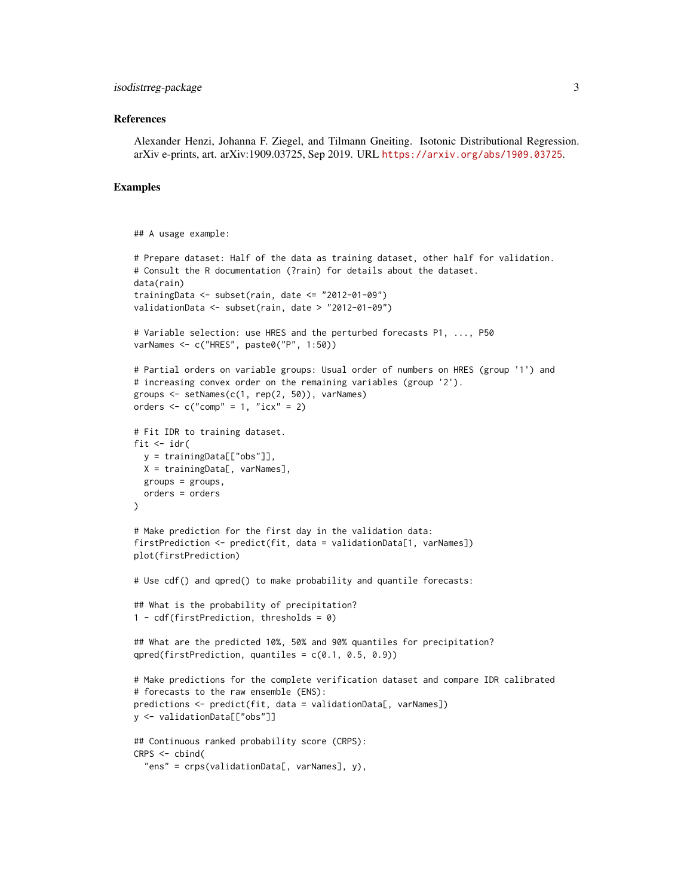#### isodistrreg-package 3

#### References

Alexander Henzi, Johanna F. Ziegel, and Tilmann Gneiting. Isotonic Distributional Regression. arXiv e-prints, art. arXiv:1909.03725, Sep 2019. URL <https://arxiv.org/abs/1909.03725>.

#### Examples

```
## A usage example:
```

```
# Prepare dataset: Half of the data as training dataset, other half for validation.
# Consult the R documentation (?rain) for details about the dataset.
data(rain)
trainingData \leq subset(rain, date \leq "2012-01-09")
validationData <- subset(rain, date > "2012-01-09")
# Variable selection: use HRES and the perturbed forecasts P1, ..., P50
varNames <- c("HRES", paste0("P", 1:50))
# Partial orders on variable groups: Usual order of numbers on HRES (group '1') and
# increasing convex order on the remaining variables (group '2').
groups <- setNames(c(1, rep(2, 50)), varNames)
orders \leq -c("comp" = 1, "icx" = 2)# Fit IDR to training dataset.
fit \leftarrow idr(
  y = trainingData[["obs"]],
  X = \text{trainingData}, varNames],
  groups = groups,
  orders = orders
\lambda# Make prediction for the first day in the validation data:
firstPrediction <- predict(fit, data = validationData[1, varNames])
plot(firstPrediction)
# Use cdf() and qpred() to make probability and quantile forecasts:
## What is the probability of precipitation?
1 - cdf(firstPrediction, thresholds = 0)
## What are the predicted 10%, 50% and 90% quantiles for precipitation?
qpred(firstPrediction, quantiles = c(0.1, 0.5, 0.9))
# Make predictions for the complete verification dataset and compare IDR calibrated
# forecasts to the raw ensemble (ENS):
predictions <- predict(fit, data = validationData[, varNames])
y <- validationData[["obs"]]
## Continuous ranked probability score (CRPS):
CRPS < - \text{cbind}("ens" = crps(validationData[, varNames], y),
```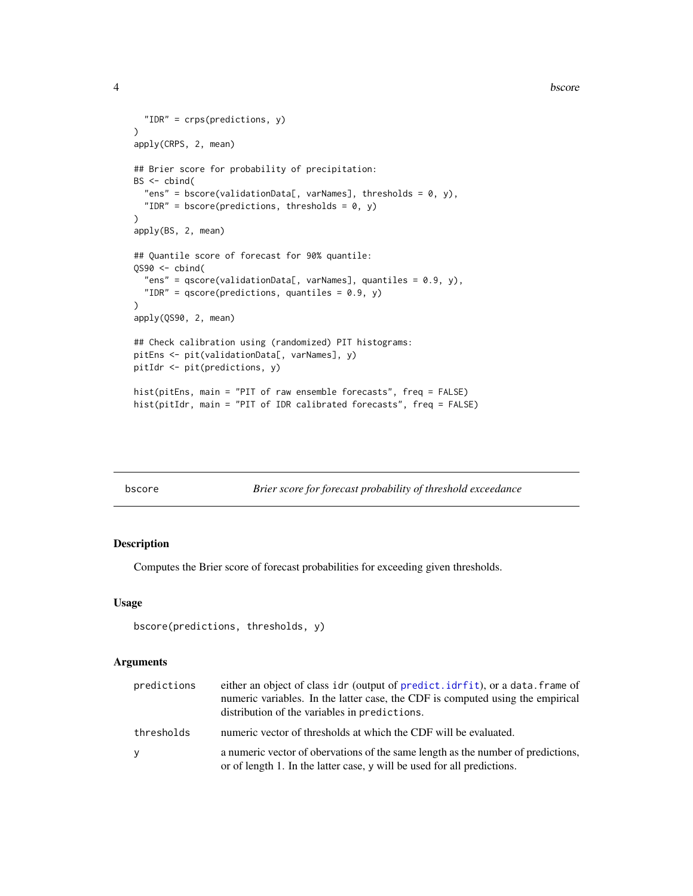<span id="page-3-0"></span>4 bscore bscore bscore bscore bscore bscore bscore bscore bscore bscore bscore bscore bscore bscore bscore bscore bscore bscore bscore bscore bscore bscore bscore bscore bscore bscore bscore bscore bscore bscore bscore bsc

```
"IDR" = crps(predictions, y)
\mathcal{L}apply(CRPS, 2, mean)
## Brier score for probability of precipitation:
BS < - cbind(
  "ens" = bscore(validationData[, varNames], thresholds = 0, y),
  "IDR" = bscore(predictions, thresholds = 0, y)
\lambdaapply(BS, 2, mean)
## Quantile score of forecast for 90% quantile:
QS90 \le - \text{cbind}("ens" = qscore(validationData[, varNames], quantiles = 0.9, y),"IDR" = qscore(predictions, quantiles = 0.9, y))
apply(QS90, 2, mean)
## Check calibration using (randomized) PIT histograms:
pitEns <- pit(validationData[, varNames], y)
pitIdr <- pit(predictions, y)
hist(pitEns, main = "PIT of raw ensemble forecasts", freq = FALSE)
hist(pitIdr, main = "PIT of IDR calibrated forecasts", freq = FALSE)
```
<span id="page-3-1"></span>

bscore *Brier score for forecast probability of threshold exceedance*

#### Description

Computes the Brier score of forecast probabilities for exceeding given thresholds.

#### Usage

```
bscore(predictions, thresholds, y)
```
#### **Arguments**

| predictions | either an object of class idr (output of predict. idrfit), or a data. frame of<br>numeric variables. In the latter case, the CDF is computed using the empirical<br>distribution of the variables in predictions. |
|-------------|-------------------------------------------------------------------------------------------------------------------------------------------------------------------------------------------------------------------|
| thresholds  | numeric vector of thresholds at which the CDF will be evaluated.                                                                                                                                                  |
| y           | a numeric vector of obervations of the same length as the number of predictions,<br>or of length 1. In the latter case, y will be used for all predictions.                                                       |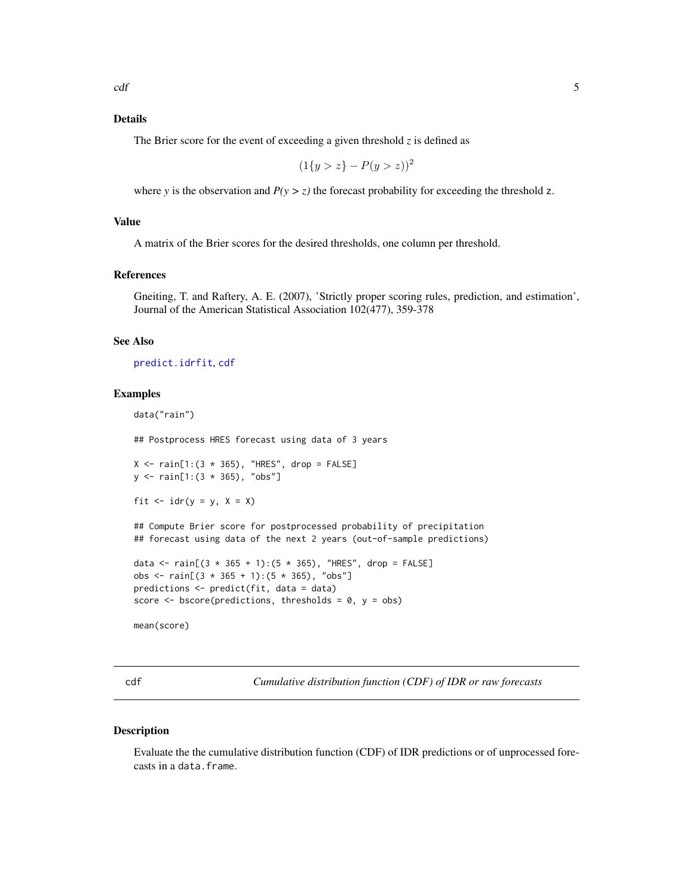#### <span id="page-4-0"></span>Details

The Brier score for the event of exceeding a given threshold  $z$  is defined as

$$
(1\{y > z\} - P(y > z))^2
$$

where *y* is the observation and  $P(y > z)$  the forecast probability for exceeding the threshold z.

#### Value

A matrix of the Brier scores for the desired thresholds, one column per threshold.

#### References

Gneiting, T. and Raftery, A. E. (2007), 'Strictly proper scoring rules, prediction, and estimation', Journal of the American Statistical Association 102(477), 359-378

#### See Also

[predict.idrfit](#page-17-1), [cdf](#page-4-1)

#### Examples

```
data("rain")
## Postprocess HRES forecast using data of 3 years
X \le - rain[1:(3 * 365), "HRES", drop = FALSE]
y <- rain[1:(3 * 365), "obs"]
fit \le idr(y = y, X = X)
## Compute Brier score for postprocessed probability of precipitation
## forecast using data of the next 2 years (out-of-sample predictions)
data <- rain[(3 * 365 + 1):(5 * 365), "HRES", drop = FALSE]obs <- rain[(3 * 365 + 1):(5 * 365), "obs"]predictions <- predict(fit, data = data)
score \leq bscore(predictions, thresholds = 0, y = obs)
mean(score)
```
<span id="page-4-1"></span>cdf *Cumulative distribution function (CDF) of IDR or raw forecasts*

#### Description

Evaluate the the cumulative distribution function (CDF) of IDR predictions or of unprocessed forecasts in a data.frame.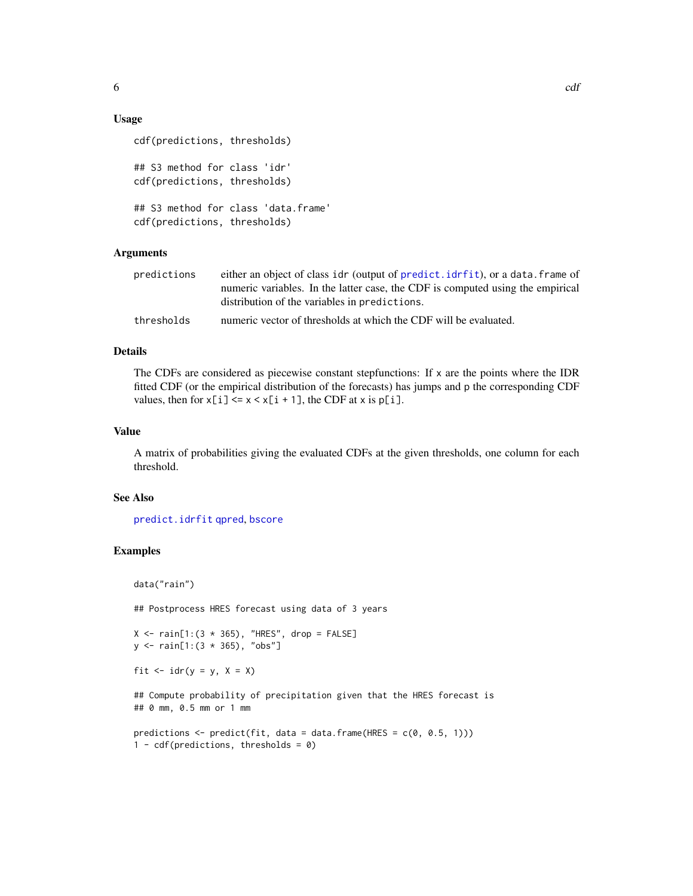#### <span id="page-5-0"></span>Usage

```
cdf(predictions, thresholds)
## S3 method for class 'idr'
cdf(predictions, thresholds)
## S3 method for class 'data.frame'
cdf(predictions, thresholds)
```
#### Arguments

| predictions | either an object of class idr (output of predict. idrfit), or a data. frame of |
|-------------|--------------------------------------------------------------------------------|
|             | numeric variables. In the latter case, the CDF is computed using the empirical |
|             | distribution of the variables in predictions.                                  |
| thresholds  | numeric vector of thresholds at which the CDF will be evaluated.               |

#### Details

The CDFs are considered as piecewise constant stepfunctions: If x are the points where the IDR fitted CDF (or the empirical distribution of the forecasts) has jumps and p the corresponding CDF values, then for  $x[i] \le x \le x[i + 1]$ , the CDF at x is p[i].

#### Value

A matrix of probabilities giving the evaluated CDFs at the given thresholds, one column for each threshold.

#### See Also

[predict.idrfit](#page-17-1) [qpred](#page-19-1), [bscore](#page-3-1)

#### Examples

```
data("rain")
## Postprocess HRES forecast using data of 3 years
X \leq -\text{rain}[1:(3 * 365), "HRES", drop = FALSE]
y <- rain[1:(3 * 365), "obs"]
fit \le idr(y = y, X = X)
## Compute probability of precipitation given that the HRES forecast is
## 0 mm, 0.5 mm or 1 mm
predictions <- predict(fit, data = data.frame(HRES = c(\theta, \theta.5, 1)))
```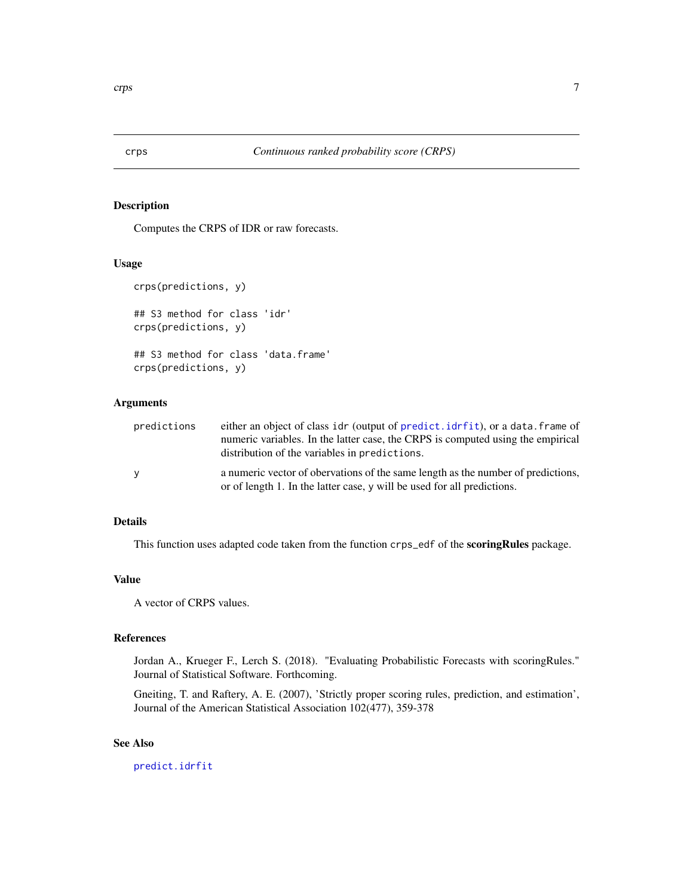<span id="page-6-1"></span><span id="page-6-0"></span>

#### Description

Computes the CRPS of IDR or raw forecasts.

#### Usage

```
crps(predictions, y)
## S3 method for class 'idr'
crps(predictions, y)
## S3 method for class 'data.frame'
crps(predictions, y)
```
#### Arguments

| predictions | either an object of class idr (output of predict. idrfit), or a data. frame of<br>numeric variables. In the latter case, the CRPS is computed using the empirical<br>distribution of the variables in predictions. |
|-------------|--------------------------------------------------------------------------------------------------------------------------------------------------------------------------------------------------------------------|
| V           | a numeric vector of obervations of the same length as the number of predictions,<br>or of length 1. In the latter case, y will be used for all predictions.                                                        |

#### Details

This function uses adapted code taken from the function crps\_edf of the scoringRules package.

#### Value

A vector of CRPS values.

#### References

Jordan A., Krueger F., Lerch S. (2018). "Evaluating Probabilistic Forecasts with scoringRules." Journal of Statistical Software. Forthcoming.

Gneiting, T. and Raftery, A. E. (2007), 'Strictly proper scoring rules, prediction, and estimation', Journal of the American Statistical Association 102(477), 359-378

#### See Also

[predict.idrfit](#page-17-1)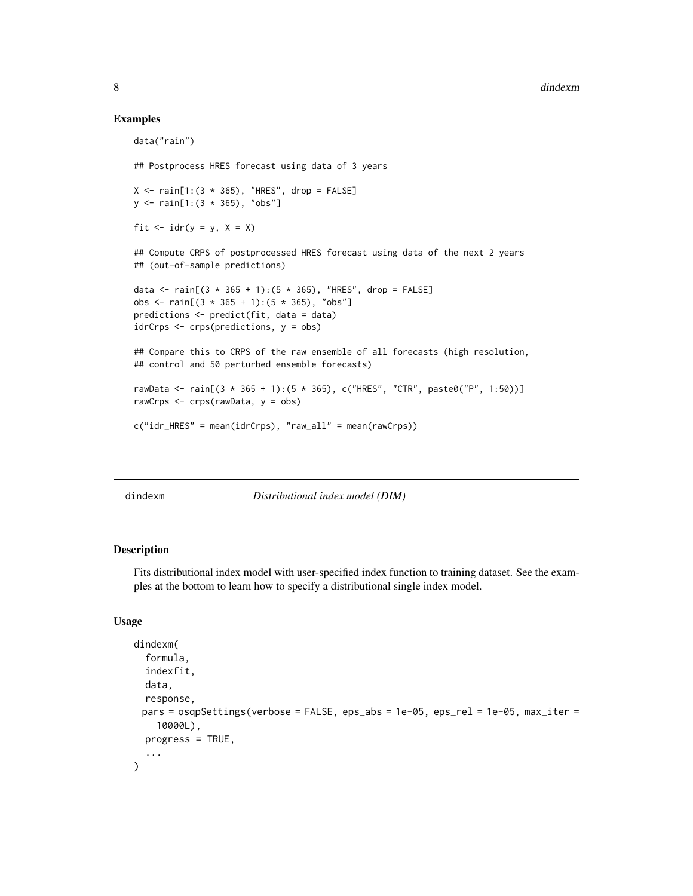#### Examples

data("rain") ## Postprocess HRES forecast using data of 3 years X <- rain[1:(3 \* 365), "HRES", drop = FALSE] y <- rain[1:(3 \* 365), "obs"] fit  $\le$  idr(y = y, X = X) ## Compute CRPS of postprocessed HRES forecast using data of the next 2 years ## (out-of-sample predictions) data <-  $rain[(3 * 365 + 1):(5 * 365), "HRES", drop = FALSE]$ obs  $\le$  rain[ $(3 \times 365 + 1):(5 \times 365)$ , "obs"] predictions <- predict(fit, data = data) idrCrps <- crps(predictions, y = obs) ## Compare this to CRPS of the raw ensemble of all forecasts (high resolution, ## control and 50 perturbed ensemble forecasts) rawData <- rain[(3 \* 365 + 1):(5 \* 365), c("HRES", "CTR", paste0("P", 1:50))] rawCrps <- crps(rawData, y = obs) c("idr\_HRES" = mean(idrCrps), "raw\_all" = mean(rawCrps))

<span id="page-7-1"></span>

dindexm *Distributional index model (DIM)*

#### Description

Fits distributional index model with user-specified index function to training dataset. See the examples at the bottom to learn how to specify a distributional single index model.

#### Usage

```
dindexm(
  formula,
  indexfit,
 data,
 response,
 pars = osqpSettings(verbose = FALSE, eps_abs = 1e-05, eps_rel = 1e-05, max_iter =
   10000L),
 progress = TRUE,
  ...
)
```
<span id="page-7-0"></span>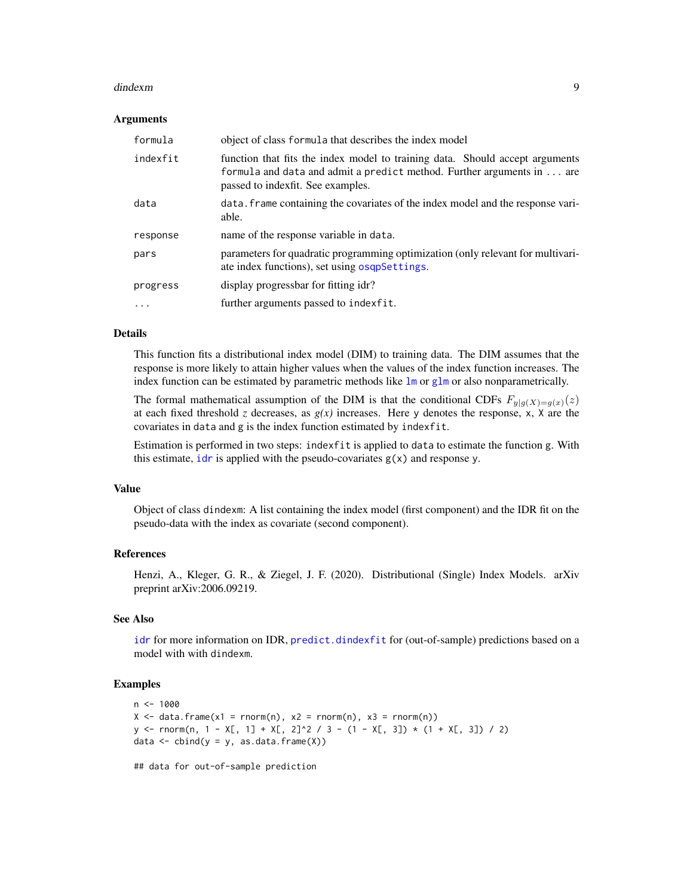#### <span id="page-8-0"></span>dindexm **9**

#### Arguments

| formula   | object of class formula that describes the index model                                                                                                                                      |
|-----------|---------------------------------------------------------------------------------------------------------------------------------------------------------------------------------------------|
| indexfit  | function that fits the index model to training data. Should accept arguments<br>formula and data and admit a predict method. Further arguments in  are<br>passed to indexfit. See examples. |
| data      | data. Frame containing the covariates of the index model and the response vari-<br>able.                                                                                                    |
| response  | name of the response variable in data.                                                                                                                                                      |
| pars      | parameters for quadratic programming optimization (only relevant for multivari-<br>ate index functions), set using osqpSettings.                                                            |
| progress  | display progressbar for fitting idr?                                                                                                                                                        |
| $\ddotsc$ | further arguments passed to indexfit.                                                                                                                                                       |

#### Details

This function fits a distributional index model (DIM) to training data. The DIM assumes that the response is more likely to attain higher values when the values of the index function increases. The index function can be estimated by parametric methods like  $\text{Im}$  or g[lm](#page-0-0) or also nonparametrically.

The formal mathematical assumption of the DIM is that the conditional CDFs  $F_{y|g(X)=g(x)}(z)$ at each fixed threshold *z* decreases, as  $g(x)$  increases. Here y denotes the response, x, X are the covariates in data and g is the index function estimated by indexfit.

Estimation is performed in two steps: indexfit is applied to data to estimate the function g. With this estimate, [idr](#page-9-1) is applied with the pseudo-covariates  $g(x)$  and response y.

#### Value

Object of class dindexm: A list containing the index model (first component) and the IDR fit on the pseudo-data with the index as covariate (second component).

#### References

Henzi, A., Kleger, G. R., & Ziegel, J. F. (2020). Distributional (Single) Index Models. arXiv preprint arXiv:2006.09219.

#### See Also

[idr](#page-9-1) for more information on IDR, [predict.dindexfit](#page-16-1) for (out-of-sample) predictions based on a model with with dindexm.

#### Examples

```
n < -1000X \le - data.frame(x1 = rnorm(n), x2 = rnorm(n), x3 = rnorm(n))
y \leq r rnorm(n, 1 - X[, 1] + X[, 2]^2 / 3 - (1 - X[, 3]) * (1 + X[, 3]) / 2)
data \le cbind(y = y, as.data.frame(X))
```
## data for out-of-sample prediction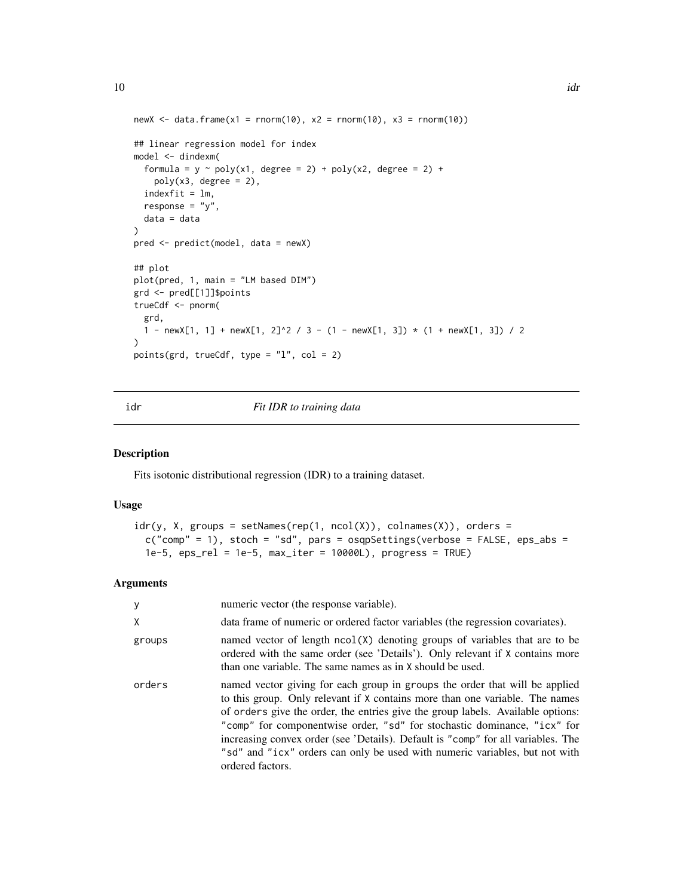```
newX \le data.frame(x1 = rnorm(10), x2 = rnorm(10), x3 = rnorm(10))
## linear regression model for index
model <- dindexm(
  formula = y \sim poly(x1, \text{ degree} = 2) + poly(x2, \text{ degree} = 2) +poly(x3, degree = 2),
  indexfit = lm,response = "y",data = data
\lambdapred <- predict(model, data = newX)
## plot
plot(pred, 1, main = "LM based DIM")
grd <- pred[[1]]$points
trueCdf <- pnorm(
 grd,
  1 - newX[1, 1] + newX[1, 2]^2 / 3 - (1 - newX[1, 3]) * (1 + newX[1, 3]) / 2
)
points(grd, trueCdf, type = "l", col = 2)
```
<span id="page-9-1"></span>idr *Fit IDR to training data*

#### Description

Fits isotonic distributional regression (IDR) to a training dataset.

#### Usage

```
idr(y, X, groups = setNames(rep(1, ncol(X)), colnames(X)), orders =c("comp" = 1), stoch = "sd", pars = osqpSettings(verbose = FALSE, eps_abs =
 1e-5, eps_rel = 1e-5, max_iter = 10000L), progress = TRUE)
```
#### Arguments

| у      | numeric vector (the response variable).                                                                                                                                                                                                                                                                                                                                                                                                                                                                           |
|--------|-------------------------------------------------------------------------------------------------------------------------------------------------------------------------------------------------------------------------------------------------------------------------------------------------------------------------------------------------------------------------------------------------------------------------------------------------------------------------------------------------------------------|
| χ      | data frame of numeric or ordered factor variables (the regression covariates).                                                                                                                                                                                                                                                                                                                                                                                                                                    |
| groups | named vector of length $ncol(X)$ denoting groups of variables that are to be<br>ordered with the same order (see 'Details'). Only relevant if X contains more<br>than one variable. The same names as in X should be used.                                                                                                                                                                                                                                                                                        |
| orders | named vector giving for each group in groups the order that will be applied<br>to this group. Only relevant if X contains more than one variable. The names<br>of orders give the order, the entries give the group labels. Available options:<br>"comp" for componentwise order, "sd" for stochastic dominance, "icx" for<br>increasing convex order (see 'Details). Default is "comp" for all variables. The<br>"sd" and "icx" orders can only be used with numeric variables, but not with<br>ordered factors. |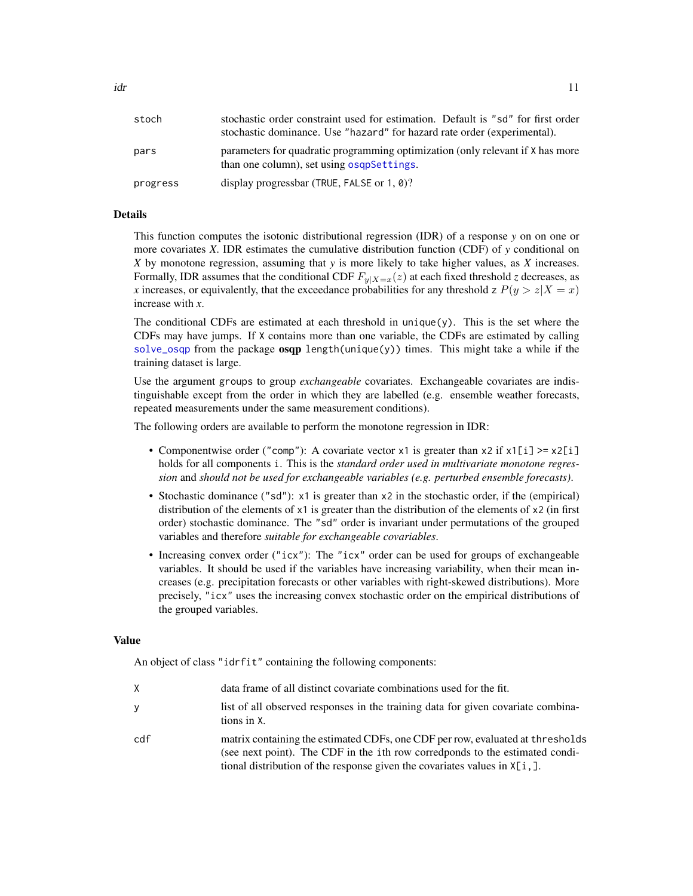<span id="page-10-0"></span>

| stoch    | stochastic order constraint used for estimation. Default is "sd" for first order<br>stochastic dominance. Use "hazard" for hazard rate order (experimental). |
|----------|--------------------------------------------------------------------------------------------------------------------------------------------------------------|
| pars     | parameters for quadratic programming optimization (only relevant if X has more<br>than one column), set using osqpSettings.                                  |
| progress | display progressbar (TRUE, FALSE or $1, 0$ )?                                                                                                                |

#### Details

This function computes the isotonic distributional regression (IDR) of a response *y* on on one or more covariates *X*. IDR estimates the cumulative distribution function (CDF) of *y* conditional on *X* by monotone regression, assuming that *y* is more likely to take higher values, as *X* increases. Formally, IDR assumes that the conditional CDF  $F_{y|X=x}(z)$  at each fixed threshold *z* decreases, as *x* increases, or equivalently, that the exceedance probabilities for any threshold z  $P(y > z|X = x)$ increase with *x*.

The conditional CDFs are estimated at each threshold in unique(y). This is the set where the CDFs may have jumps. If X contains more than one variable, the CDFs are estimated by calling [solve\\_osqp](#page-0-0) from the package  $osqp$  length(unique(y)) times. This might take a while if the training dataset is large.

Use the argument groups to group *exchangeable* covariates. Exchangeable covariates are indistinguishable except from the order in which they are labelled (e.g. ensemble weather forecasts, repeated measurements under the same measurement conditions).

The following orders are available to perform the monotone regression in IDR:

- Componentwise order ("comp"): A covariate vector  $x1$  is greater than  $x2$  if  $x1[i] \ge x2[i]$ holds for all components i. This is the *standard order used in multivariate monotone regression* and *should not be used for exchangeable variables (e.g. perturbed ensemble forecasts)*.
- Stochastic dominance ("sd"): x1 is greater than x2 in the stochastic order, if the (empirical) distribution of the elements of x1 is greater than the distribution of the elements of x2 (in first order) stochastic dominance. The "sd" order is invariant under permutations of the grouped variables and therefore *suitable for exchangeable covariables*.
- Increasing convex order ("icx"): The "icx" order can be used for groups of exchangeable variables. It should be used if the variables have increasing variability, when their mean increases (e.g. precipitation forecasts or other variables with right-skewed distributions). More precisely, "icx" uses the increasing convex stochastic order on the empirical distributions of the grouped variables.

#### Value

An object of class "idrfit" containing the following components:

| X.  | data frame of all distinct covariate combinations used for the fit.                                                                                                                                                                           |
|-----|-----------------------------------------------------------------------------------------------------------------------------------------------------------------------------------------------------------------------------------------------|
| У   | list of all observed responses in the training data for given covariate combina-<br>tions in X.                                                                                                                                               |
| cdf | matrix containing the estimated CDFs, one CDF per row, evaluated at thresholds<br>(see next point). The CDF in the ith row corredponds to the estimated condi-<br>tional distribution of the response given the covariates values in $X[i,].$ |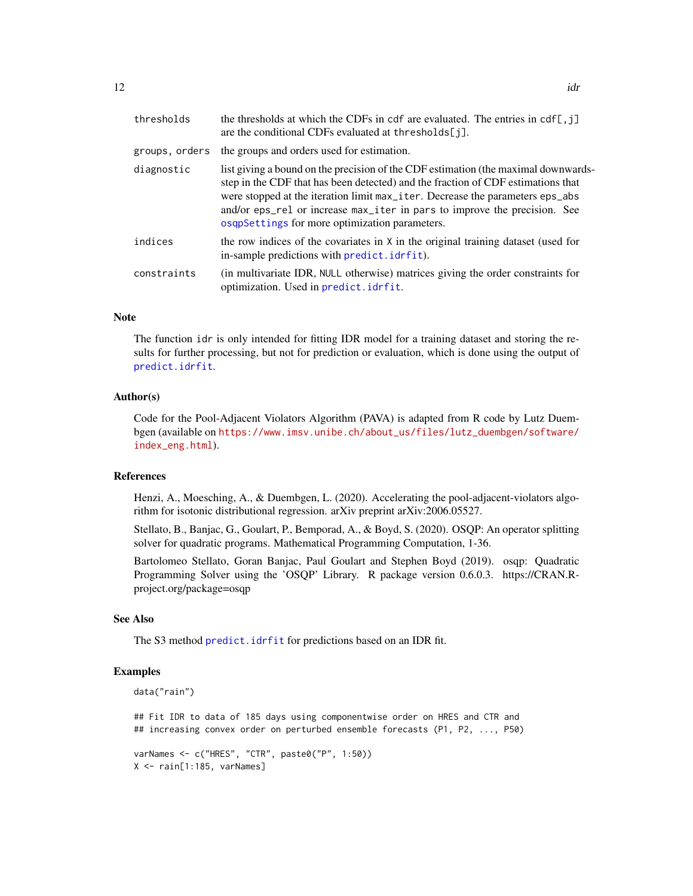<span id="page-11-0"></span>

| the thresholds at which the CDFs in cdf are evaluated. The entries in $cdf[, j]$<br>are the conditional CDFs evaluated at thresholds[j].                                                                                                                                                                                                                                               |
|----------------------------------------------------------------------------------------------------------------------------------------------------------------------------------------------------------------------------------------------------------------------------------------------------------------------------------------------------------------------------------------|
| the groups and orders used for estimation.                                                                                                                                                                                                                                                                                                                                             |
| list giving a bound on the precision of the CDF estimation (the maximal downwards-<br>step in the CDF that has been detected) and the fraction of CDF estimations that<br>were stopped at the iteration limit max_iter. Decrease the parameters eps_abs<br>and/or eps_rel or increase max_iter in pars to improve the precision. See<br>osqpSettings for more optimization parameters. |
| the row indices of the covariates in X in the original training dataset (used for<br>in-sample predictions with predict. idrfit).                                                                                                                                                                                                                                                      |
| (in multivariate IDR, NULL otherwise) matrices giving the order constraints for<br>optimization. Used in predict.idrfit.                                                                                                                                                                                                                                                               |
|                                                                                                                                                                                                                                                                                                                                                                                        |

#### Note

The function idr is only intended for fitting IDR model for a training dataset and storing the results for further processing, but not for prediction or evaluation, which is done using the output of [predict.idrfit](#page-17-1).

#### Author(s)

Code for the Pool-Adjacent Violators Algorithm (PAVA) is adapted from R code by Lutz Duembgen (available on [https://www.imsv.unibe.ch/about\\_us/files/lutz\\_duembgen/software/](https://www.imsv.unibe.ch/about_us/files/lutz_duembgen/software/index_eng.html) [index\\_eng.html](https://www.imsv.unibe.ch/about_us/files/lutz_duembgen/software/index_eng.html)).

#### References

Henzi, A., Moesching, A., & Duembgen, L. (2020). Accelerating the pool-adjacent-violators algorithm for isotonic distributional regression. arXiv preprint arXiv:2006.05527.

Stellato, B., Banjac, G., Goulart, P., Bemporad, A., & Boyd, S. (2020). OSQP: An operator splitting solver for quadratic programs. Mathematical Programming Computation, 1-36.

Bartolomeo Stellato, Goran Banjac, Paul Goulart and Stephen Boyd (2019). osqp: Quadratic Programming Solver using the 'OSQP' Library. R package version 0.6.0.3. https://CRAN.Rproject.org/package=osqp

#### See Also

The S3 method [predict.idrfit](#page-17-1) for predictions based on an IDR fit.

#### Examples

```
data("rain")
```
## Fit IDR to data of 185 days using componentwise order on HRES and CTR and ## increasing convex order on perturbed ensemble forecasts (P1, P2, ..., P50)

```
varNames <- c("HRES", "CTR", paste0("P", 1:50))
X \leftarrow \text{rain}[1:185, \text{ varNames}]
```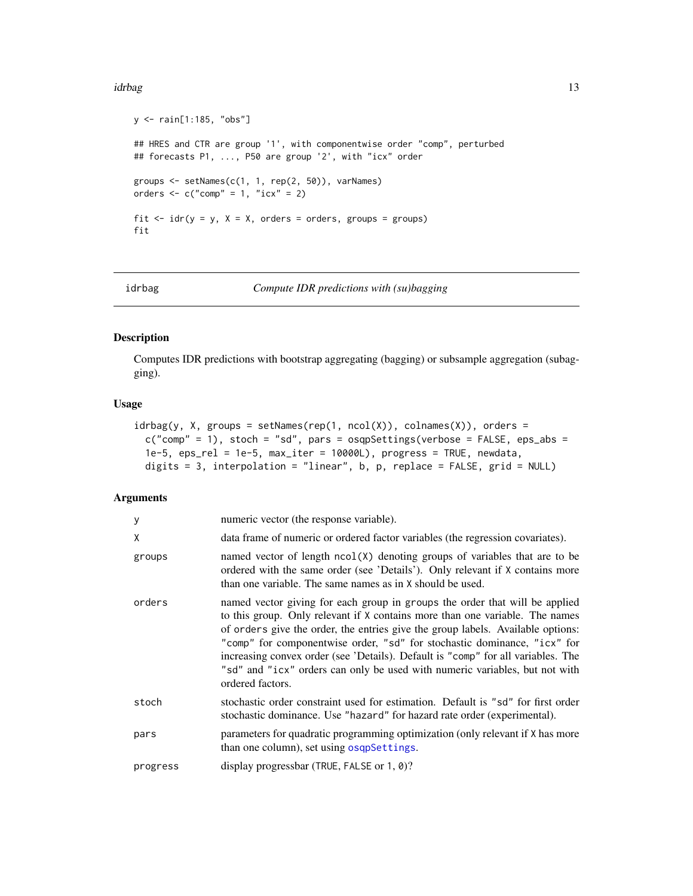#### <span id="page-12-0"></span>idrbag i 13

```
y <- rain[1:185, "obs"]
## HRES and CTR are group '1', with componentwise order "comp", perturbed
## forecasts P1, ..., P50 are group '2', with "icx" order
groups <- setNames(c(1, 1, rep(2, 50)), varNames)
orders \leq c("comp" = 1, "icx" = 2)
fit \le idr(y = y, X = X, orders = orders, groups = groups)
fit
```
<span id="page-12-1"></span>

idrbag *Compute IDR predictions with (su)bagging*

#### Description

Computes IDR predictions with bootstrap aggregating (bagging) or subsample aggregation (subagging).

#### Usage

```
idrbag(y, X, groups = setNames(rep(1, ncol(X)), colnames(X)), orders =c("comp" = 1), stoch = "sd", pars = osqpSettings(verbose = FALSE, eps_abs =
 1e-5, eps_rel = 1e-5, max_iter = 10000L), progress = TRUE, newdata,
 digits = 3, interpolation = "linear", b, p, replace = FALSE, grid = NULL)
```
#### Arguments

| y        | numeric vector (the response variable).                                                                                                                                                                                                                                                                                                                                                                                                                                                                           |
|----------|-------------------------------------------------------------------------------------------------------------------------------------------------------------------------------------------------------------------------------------------------------------------------------------------------------------------------------------------------------------------------------------------------------------------------------------------------------------------------------------------------------------------|
| X        | data frame of numeric or ordered factor variables (the regression covariates).                                                                                                                                                                                                                                                                                                                                                                                                                                    |
| groups   | named vector of length ncol(X) denoting groups of variables that are to be<br>ordered with the same order (see 'Details'). Only relevant if X contains more<br>than one variable. The same names as in X should be used.                                                                                                                                                                                                                                                                                          |
| orders   | named vector giving for each group in groups the order that will be applied<br>to this group. Only relevant if X contains more than one variable. The names<br>of orders give the order, the entries give the group labels. Available options:<br>"comp" for componentwise order, "sd" for stochastic dominance, "icx" for<br>increasing convex order (see 'Details). Default is "comp" for all variables. The<br>"sd" and "icx" orders can only be used with numeric variables, but not with<br>ordered factors. |
| stoch    | stochastic order constraint used for estimation. Default is "sd" for first order<br>stochastic dominance. Use "hazard" for hazard rate order (experimental).                                                                                                                                                                                                                                                                                                                                                      |
| pars     | parameters for quadratic programming optimization (only relevant if X has more<br>than one column), set using osqpSettings.                                                                                                                                                                                                                                                                                                                                                                                       |
| progress | display progressbar (TRUE, FALSE or $1, 0$ )?                                                                                                                                                                                                                                                                                                                                                                                                                                                                     |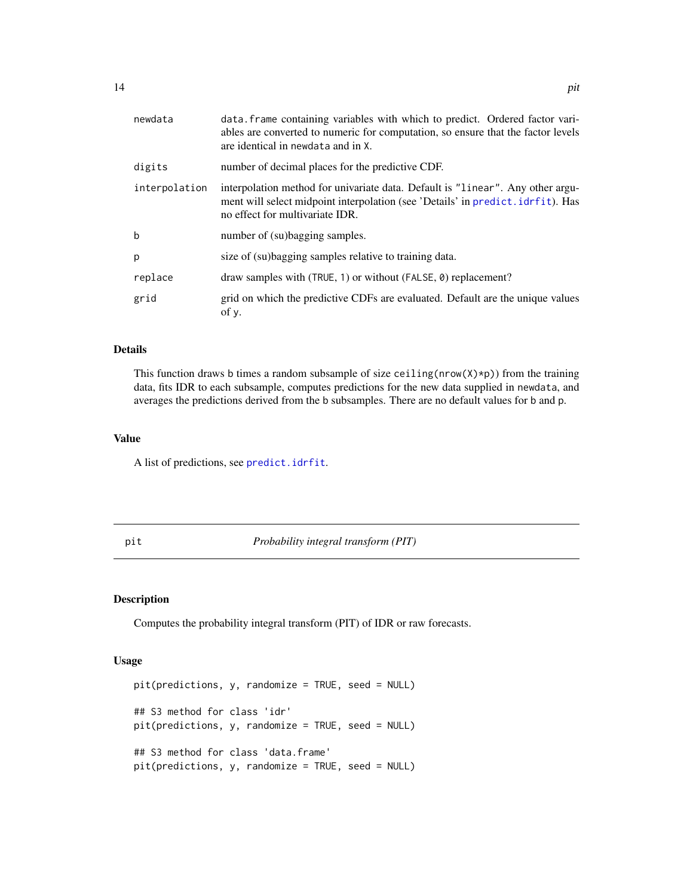<span id="page-13-0"></span>

| newdata       | data. frame containing variables with which to predict. Ordered factor vari-<br>ables are converted to numeric for computation, so ensure that the factor levels<br>are identical in newdata and in X. |
|---------------|--------------------------------------------------------------------------------------------------------------------------------------------------------------------------------------------------------|
| digits        | number of decimal places for the predictive CDF.                                                                                                                                                       |
| interpolation | interpolation method for univariate data. Default is "linear". Any other argu-<br>ment will select midpoint interpolation (see 'Details' in predict. idrfit). Has<br>no effect for multivariate IDR.   |
| b             | number of (su)bagging samples.                                                                                                                                                                         |
| p             | size of (su) bagging samples relative to training data.                                                                                                                                                |
| replace       | draw samples with (TRUE, 1) or without (FALSE, 0) replacement?                                                                                                                                         |
| grid          | grid on which the predictive CDFs are evaluated. Default are the unique values<br>of y.                                                                                                                |

#### Details

This function draws b times a random subsample of size ceiling(nrow( $X$ )\*p)) from the training data, fits IDR to each subsample, computes predictions for the new data supplied in newdata, and averages the predictions derived from the b subsamples. There are no default values for b and p.

#### Value

A list of predictions, see [predict.idrfit](#page-17-1).

<span id="page-13-1"></span>pit *Probability integral transform (PIT)*

#### Description

Computes the probability integral transform (PIT) of IDR or raw forecasts.

#### Usage

```
pit(predictions, y, randomize = TRUE, seed = NULL)
## S3 method for class 'idr'
pit(predictions, y, randomize = TRUE, seed = NULL)
## S3 method for class 'data.frame'
pit(predictions, y, randomize = TRUE, seed = NULL)
```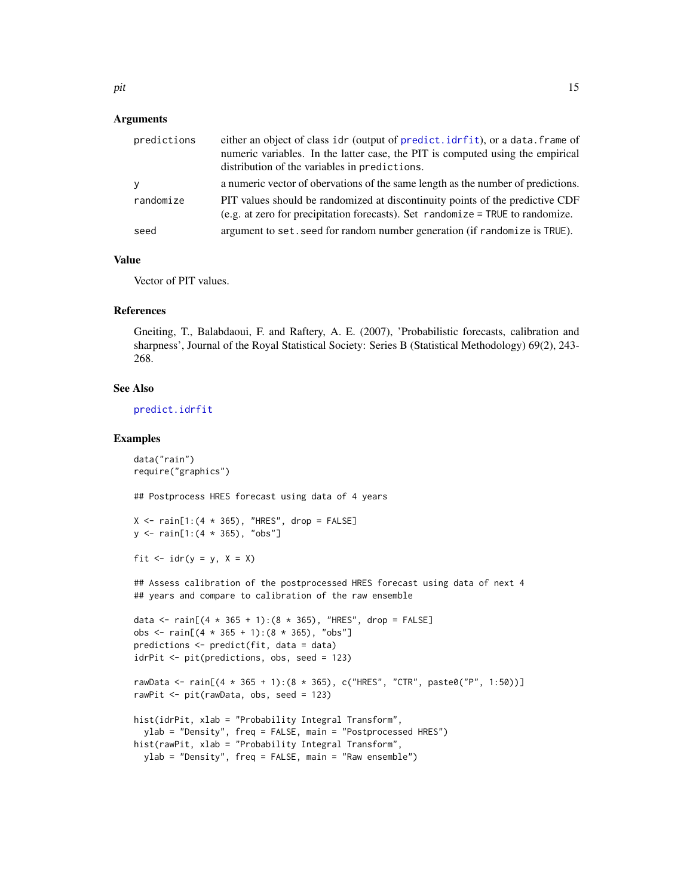#### Arguments

| predictions | either an object of class idr (output of predict.idrfit), or a data.frame of<br>numeric variables. In the latter case, the PIT is computed using the empirical<br>distribution of the variables in predictions. |
|-------------|-----------------------------------------------------------------------------------------------------------------------------------------------------------------------------------------------------------------|
| y           | a numeric vector of obervations of the same length as the number of predictions.                                                                                                                                |
| randomize   | PIT values should be randomized at discontinuity points of the predictive CDF<br>(e.g. at zero for precipitation forecasts). Set randomize $=$ TRUE to randomize.                                               |
| seed        | argument to set, seed for random number generation (if randomize is TRUE).                                                                                                                                      |

#### Value

Vector of PIT values.

#### References

Gneiting, T., Balabdaoui, F. and Raftery, A. E. (2007), 'Probabilistic forecasts, calibration and sharpness', Journal of the Royal Statistical Society: Series B (Statistical Methodology) 69(2), 243- 268.

#### See Also

[predict.idrfit](#page-17-1)

#### Examples

```
data("rain")
require("graphics")
## Postprocess HRES forecast using data of 4 years
X \leq - \text{rain}[1:(4 * 365), "HRES", drop = FALSE]
y <- rain[1:(4 * 365), "obs"]
fit \le idr(y = y, X = X)
## Assess calibration of the postprocessed HRES forecast using data of next 4
## years and compare to calibration of the raw ensemble
data <- rain[(4 * 365 + 1):(8 * 365), "HRES", drop = FALSE]obs \le rain[(4 \times 365 + 1):(8 \times 365), "obs"]
predictions <- predict(fit, data = data)
idrPit <- pit(predictions, obs, seed = 123)
rawData <- rain[(4 * 365 + 1):(8 * 365), c("HRES", "CTR", paste0("P", 1:50))]
rawPit <- pit(rawData, obs, seed = 123)
hist(idrPit, xlab = "Probability Integral Transform",
  ylab = "Density", freq = FALSE, main = "Postprocessed HRES")
hist(rawPit, xlab = "Probability Integral Transform",
  ylab = "Density", freq = FALSE, main = "Raw ensemble")
```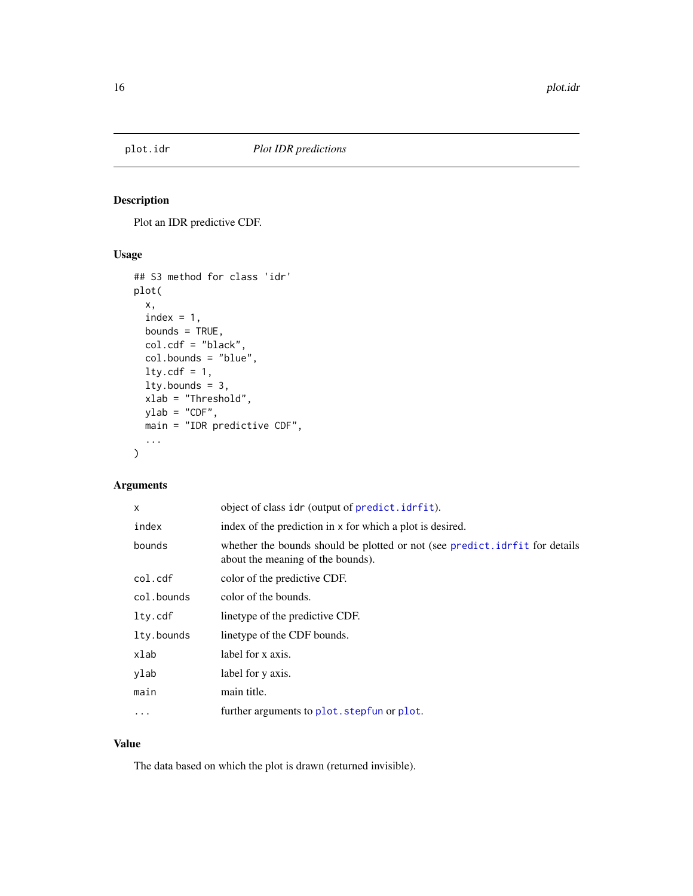<span id="page-15-1"></span><span id="page-15-0"></span>

#### Description

Plot an IDR predictive CDF.

#### Usage

```
## S3 method for class 'idr'
plot(
 x,
 index = 1,bounds = TRUE,
 col.cdf = "black",
 col.bounds = "blue",
 lty.cdf = 1,
 lty.bounds = 3,
 xlab = "Threshold",
 ylab = "CDF",main = "IDR predictive CDF",
  ...
)
```
#### Arguments

| X          | object of class idr (output of predict.idrfit).                                                                   |
|------------|-------------------------------------------------------------------------------------------------------------------|
| index      | index of the prediction in x for which a plot is desired.                                                         |
| bounds     | whether the bounds should be plotted or not (see predict. idrfit for details<br>about the meaning of the bounds). |
| col.cdf    | color of the predictive CDF.                                                                                      |
| col.bounds | color of the bounds.                                                                                              |
| lty.cdf    | linetype of the predictive CDF.                                                                                   |
| lty.bounds | linetype of the CDF bounds.                                                                                       |
| xlab       | label for x axis.                                                                                                 |
| ylab       | label for y axis.                                                                                                 |
| main       | main title.                                                                                                       |
| $\cdots$   | further arguments to plot. stepfun or plot.                                                                       |

#### Value

The data based on which the plot is drawn (returned invisible).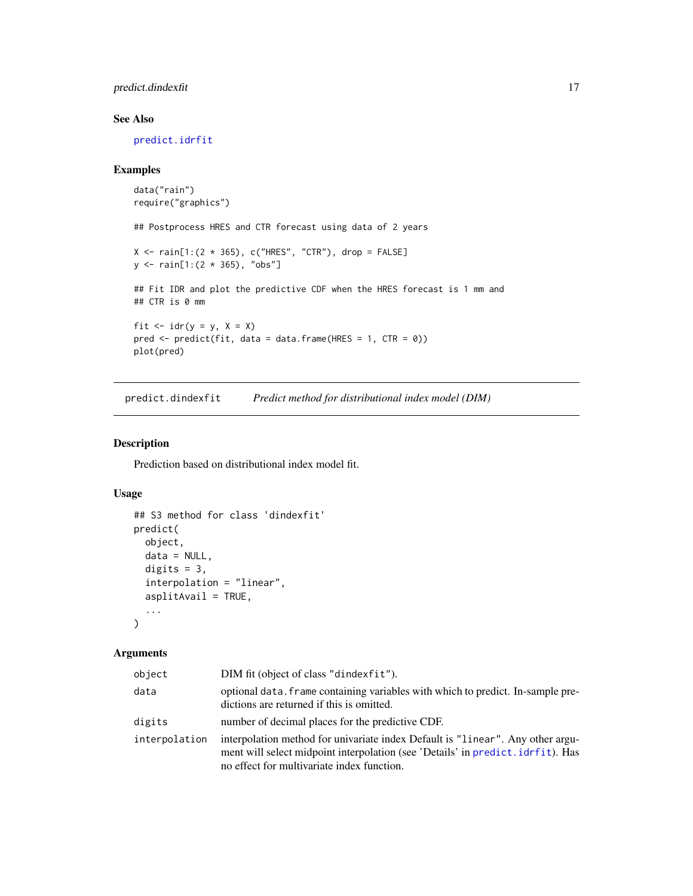#### <span id="page-16-0"></span>predict.dindexfit 17

#### See Also

[predict.idrfit](#page-17-1)

#### Examples

```
data("rain")
require("graphics")
## Postprocess HRES and CTR forecast using data of 2 years
X \le - rain[1:(2 * 365), c("HRES", "CTR"), drop = FALSE]
y <- rain[1:(2 * 365), "obs"]
## Fit IDR and plot the predictive CDF when the HRES forecast is 1 mm and
## CTR is 0 mm
fit \le idr(y = y, X = X)
pred <- predict(fit, data = data.frame(HRES = 1, CTR = 0))
plot(pred)
```
<span id="page-16-1"></span>predict.dindexfit *Predict method for distributional index model (DIM)*

#### Description

Prediction based on distributional index model fit.

#### Usage

```
## S3 method for class 'dindexfit'
predict(
 object,
 data = NULL,digits = 3,
  interpolation = "linear",
  asplitAvail = TRUE,
  ...
)
```
#### Arguments

| object        | DIM fit (object of class "dindexfit").                                                                                                                                                                          |
|---------------|-----------------------------------------------------------------------------------------------------------------------------------------------------------------------------------------------------------------|
| data          | optional data. Frame containing variables with which to predict. In-sample pre-<br>dictions are returned if this is omitted.                                                                                    |
| digits        | number of decimal places for the predictive CDF.                                                                                                                                                                |
| interpolation | interpolation method for univariate index Default is "linear". Any other argu-<br>ment will select midpoint interpolation (see 'Details' in predict. idrfit). Has<br>no effect for multivariate index function. |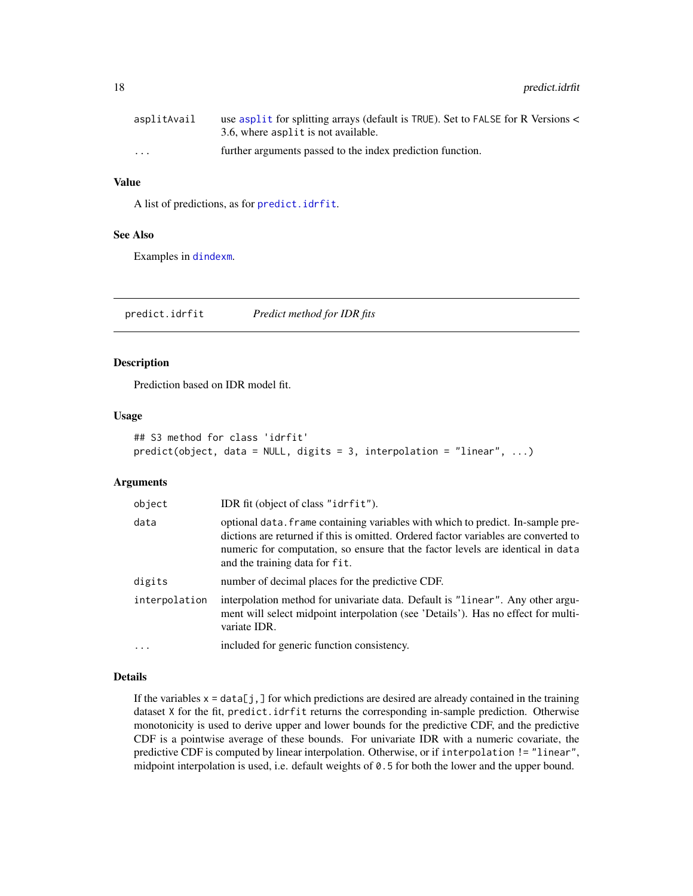<span id="page-17-0"></span>

| asplitAvail             | use asplite for splitting arrays (default is TRUE). Set to FALSE for R Versions <<br>3.6, where asplit is not available. |
|-------------------------|--------------------------------------------------------------------------------------------------------------------------|
| $\cdot$ $\cdot$ $\cdot$ | further arguments passed to the index prediction function.                                                               |

#### Value

A list of predictions, as for [predict.idrfit](#page-17-1).

#### See Also

Examples in [dindexm](#page-7-1).

<span id="page-17-1"></span>predict.idrfit *Predict method for IDR fits*

#### Description

Prediction based on IDR model fit.

#### Usage

```
## S3 method for class 'idrfit'
predict(object, data = NULL, digits = 3, interpolation = "linear", ...)
```
#### Arguments

| object        | IDR fit (object of class "idrfit").                                                                                                                                                                                                                                                         |
|---------------|---------------------------------------------------------------------------------------------------------------------------------------------------------------------------------------------------------------------------------------------------------------------------------------------|
| data          | optional data. frame containing variables with which to predict. In-sample pre-<br>dictions are returned if this is omitted. Ordered factor variables are converted to<br>numeric for computation, so ensure that the factor levels are identical in data<br>and the training data for fit. |
| digits        | number of decimal places for the predictive CDF.                                                                                                                                                                                                                                            |
| interpolation | interpolation method for univariate data. Default is "linear". Any other argu-<br>ment will select midpoint interpolation (see 'Details'). Has no effect for multi-<br>variate IDR.                                                                                                         |
| $\ddots$ .    | included for generic function consistency.                                                                                                                                                                                                                                                  |

#### Details

If the variables  $x = data[j,]$  for which predictions are desired are already contained in the training dataset X for the fit, predict.idrfit returns the corresponding in-sample prediction. Otherwise monotonicity is used to derive upper and lower bounds for the predictive CDF, and the predictive CDF is a pointwise average of these bounds. For univariate IDR with a numeric covariate, the predictive CDF is computed by linear interpolation. Otherwise, or if interpolation != "linear", midpoint interpolation is used, i.e. default weights of 0.5 for both the lower and the upper bound.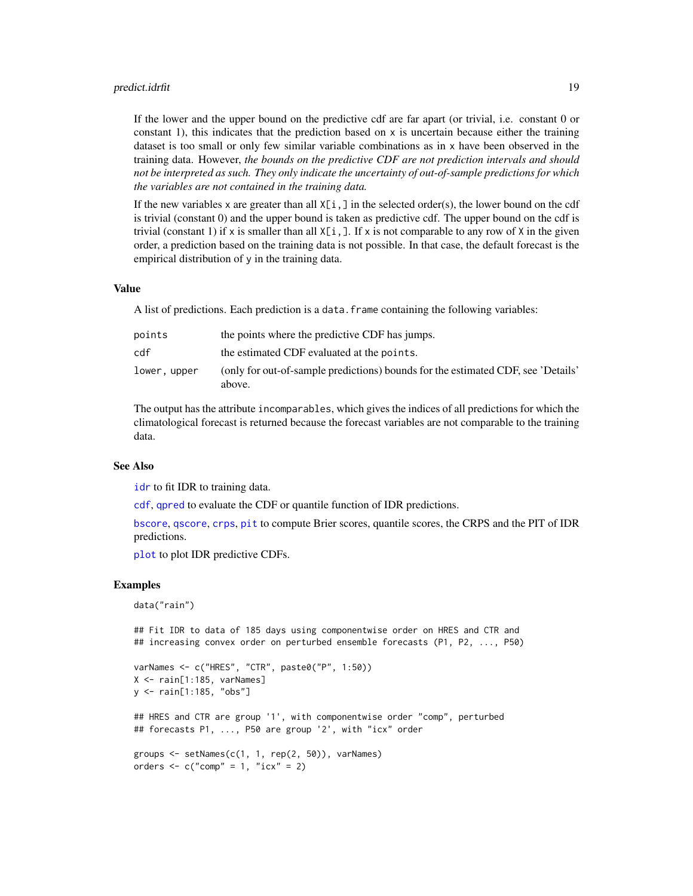#### <span id="page-18-0"></span>predict.idrfit 19

If the lower and the upper bound on the predictive cdf are far apart (or trivial, i.e. constant 0 or constant 1), this indicates that the prediction based on  $x$  is uncertain because either the training dataset is too small or only few similar variable combinations as in x have been observed in the training data. However, *the bounds on the predictive CDF are not prediction intervals and should not be interpreted as such. They only indicate the uncertainty of out-of-sample predictions for which the variables are not contained in the training data.*

If the new variables x are greater than all  $X[i, ]$  in the selected order(s), the lower bound on the cdf is trivial (constant 0) and the upper bound is taken as predictive cdf. The upper bound on the cdf is trivial (constant 1) if x is smaller than all  $X[i, ]$ . If x is not comparable to any row of X in the given order, a prediction based on the training data is not possible. In that case, the default forecast is the empirical distribution of y in the training data.

#### Value

A list of predictions. Each prediction is a data. frame containing the following variables:

| points       | the points where the predictive CDF has jumps.                                             |
|--------------|--------------------------------------------------------------------------------------------|
| cdf          | the estimated CDF evaluated at the points.                                                 |
| lower, upper | (only for out-of-sample predictions) bounds for the estimated CDF, see 'Details'<br>above. |

The output has the attribute incomparables, which gives the indices of all predictions for which the climatological forecast is returned because the forecast variables are not comparable to the training data.

#### See Also

[idr](#page-9-1) to fit IDR to training data.

[cdf](#page-4-1), [qpred](#page-19-1) to evaluate the CDF or quantile function of IDR predictions.

[bscore](#page-3-1), [qscore](#page-20-1), [crps](#page-6-1), [pit](#page-13-1) to compute Brier scores, quantile scores, the CRPS and the PIT of IDR predictions.

[plot](#page-0-0) to plot IDR predictive CDFs.

#### Examples

```
data("rain")
```
## Fit IDR to data of 185 days using componentwise order on HRES and CTR and ## increasing convex order on perturbed ensemble forecasts (P1, P2, ..., P50)

```
varNames <- c("HRES", "CTR", paste0("P", 1:50))
X \leq - \text{rain}[1:185, \text{ varNames}]y <- rain[1:185, "obs"]
## HRES and CTR are group '1', with componentwise order "comp", perturbed
## forecasts P1, ..., P50 are group '2', with "icx" order
groups \leq setNames(c(1, 1, rep(2, 50)), varNames)
orders \leq c("comp" = 1, "icx" = 2)
```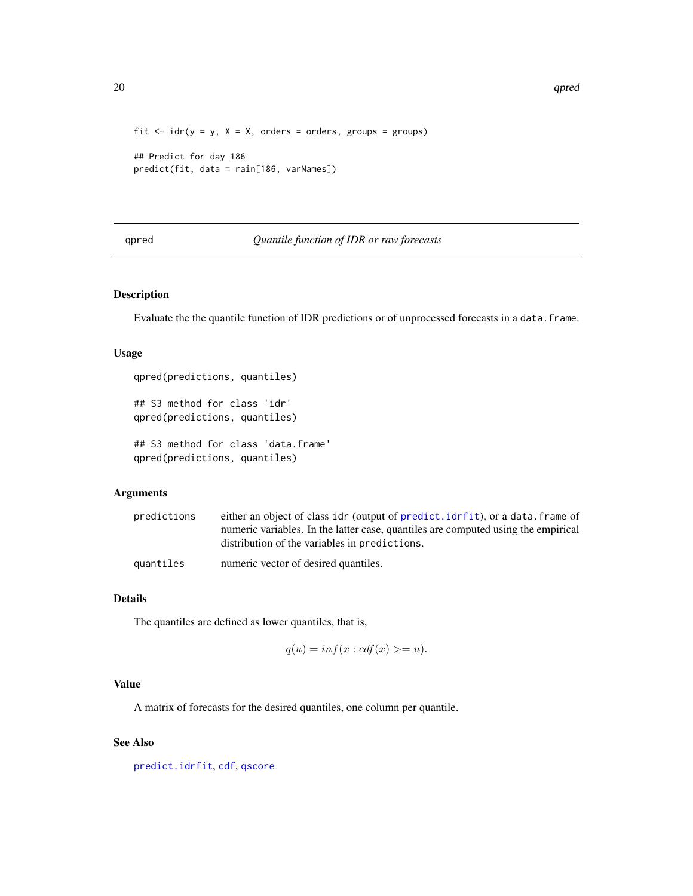20 and 20 gpred 20 gpred 20 gpred 20 gpred 20 gpred 20 gpred 20 gpred 20 gpred 20 gpred 20 gpred 20 gpred 20 gpred 20 gpred 20 gpred 20 gpred 20 gpred 20 gpred 20 gpred 20 gpred 20 gpred 20 gpred 20 gpred 20 gpred 20 gpred

```
fit \le idr(y = y, X = X, orders = orders, groups = groups)
## Predict for day 186
predict(fit, data = rain[186, varNames])
```
#### <span id="page-19-1"></span>qpred *Quantile function of IDR or raw forecasts*

#### Description

Evaluate the the quantile function of IDR predictions or of unprocessed forecasts in a data.frame.

#### Usage

```
qpred(predictions, quantiles)
## S3 method for class 'idr'
qpred(predictions, quantiles)
## S3 method for class 'data.frame'
qpred(predictions, quantiles)
```
#### Arguments

| predictions | either an object of class idr (output of predict.idrfit), or a data.frame of<br>numeric variables. In the latter case, quantiles are computed using the empirical |
|-------------|-------------------------------------------------------------------------------------------------------------------------------------------------------------------|
|             | distribution of the variables in predictions.                                                                                                                     |
| quantiles   | numeric vector of desired quantiles.                                                                                                                              |

#### Details

The quantiles are defined as lower quantiles, that is,

$$
q(u) = \inf(x : \operatorname{cdf}(x) > = u).
$$

#### Value

A matrix of forecasts for the desired quantiles, one column per quantile.

#### See Also

[predict.idrfit](#page-17-1), [cdf](#page-4-1), [qscore](#page-20-1)

<span id="page-19-0"></span>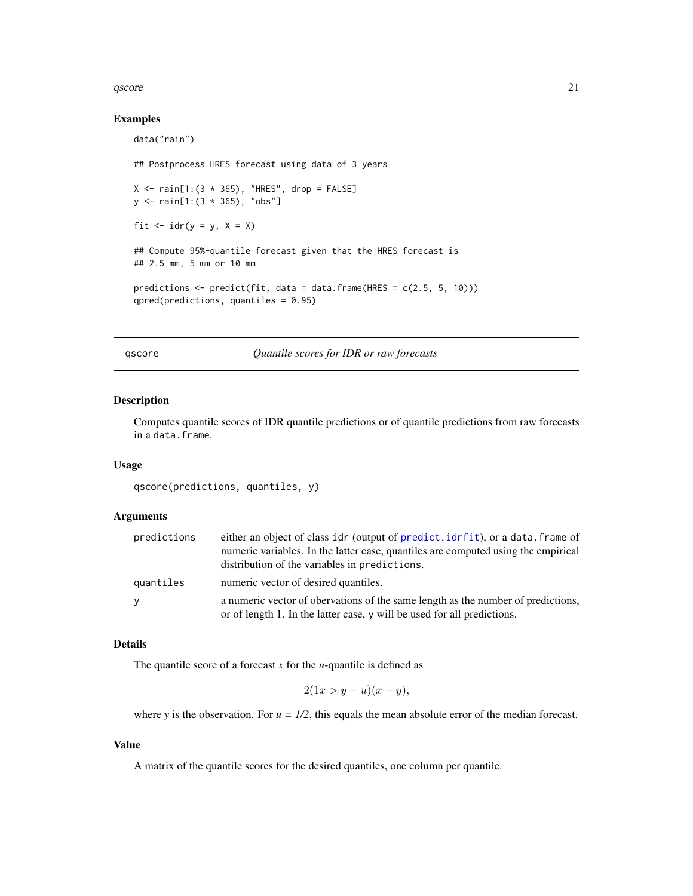#### <span id="page-20-0"></span>qscore 21

#### Examples

```
data("rain")
## Postprocess HRES forecast using data of 3 years
X \le - rain[1:(3 * 365), "HRES", drop = FALSE]
y \leftarrow \text{rain}[1:(3 * 365), "obs"]fit \le idr(y = y, X = X)
## Compute 95%-quantile forecast given that the HRES forecast is
## 2.5 mm, 5 mm or 10 mm
predictions \leq predict(fit, data = data.frame(HRES = c(2.5, 5, 10)))
qpred(predictions, quantiles = 0.95)
```
<span id="page-20-1"></span>qscore *Quantile scores for IDR or raw forecasts*

#### Description

Computes quantile scores of IDR quantile predictions or of quantile predictions from raw forecasts in a data.frame.

#### Usage

```
qscore(predictions, quantiles, y)
```
#### Arguments

| predictions | either an object of class idr (output of predict.idrfit), or a data.frame of<br>numeric variables. In the latter case, quantiles are computed using the empirical<br>distribution of the variables in predictions. |
|-------------|--------------------------------------------------------------------------------------------------------------------------------------------------------------------------------------------------------------------|
| quantiles   | numeric vector of desired quantiles.                                                                                                                                                                               |
| y           | a numeric vector of obervations of the same length as the number of predictions,<br>or of length 1. In the latter case, y will be used for all predictions.                                                        |

#### Details

The quantile score of a forecast *x* for the *u*-quantile is defined as

$$
2(1x > y - u)(x - y),
$$

where *y* is the observation. For  $u = \frac{1}{2}$ , this equals the mean absolute error of the median forecast.

#### Value

A matrix of the quantile scores for the desired quantiles, one column per quantile.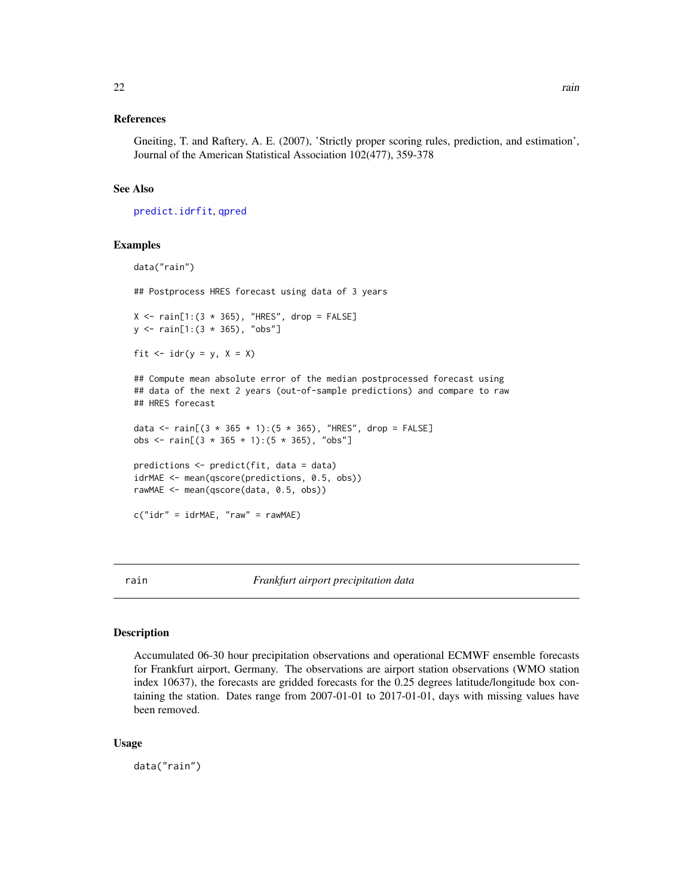#### <span id="page-21-0"></span>References

Gneiting, T. and Raftery, A. E. (2007), 'Strictly proper scoring rules, prediction, and estimation', Journal of the American Statistical Association 102(477), 359-378

#### See Also

[predict.idrfit](#page-17-1), [qpred](#page-19-1)

#### Examples

```
data("rain")
## Postprocess HRES forecast using data of 3 years
X \le - rain[1:(3 * 365), "HRES", drop = FALSE]
y <- rain[1:(3 * 365), "obs"]
fit \le idr(y = y, X = X)
## Compute mean absolute error of the median postprocessed forecast using
## data of the next 2 years (out-of-sample predictions) and compare to raw
## HRES forecast
data <- rain[(3 * 365 + 1):(5 * 365), "HRES", drop = FALSE]obs \le rain[(3 * 365 + 1):(5 * 365), "obs"]
predictions <- predict(fit, data = data)
idrMAE <- mean(qscore(predictions, 0.5, obs))
rawMAE <- mean(qscore(data, 0.5, obs))
c("idr" = idrMAE, "raw" = rawMAE)
```
<span id="page-21-1"></span>rain *Frankfurt airport precipitation data*

#### Description

Accumulated 06-30 hour precipitation observations and operational ECMWF ensemble forecasts for Frankfurt airport, Germany. The observations are airport station observations (WMO station index 10637), the forecasts are gridded forecasts for the 0.25 degrees latitude/longitude box containing the station. Dates range from 2007-01-01 to 2017-01-01, days with missing values have been removed.

#### Usage

data("rain")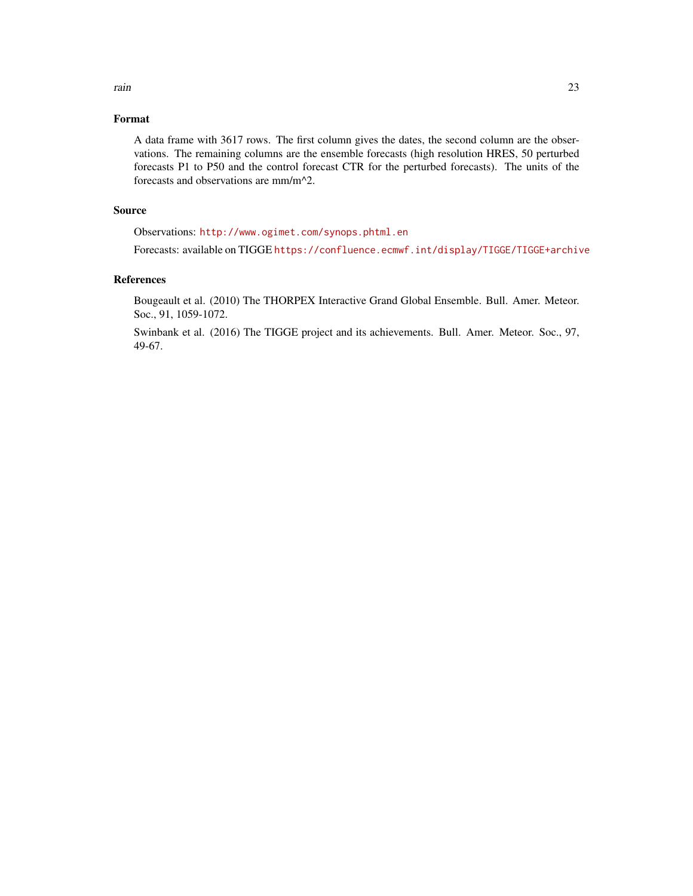rain 23

#### Format

A data frame with 3617 rows. The first column gives the dates, the second column are the observations. The remaining columns are the ensemble forecasts (high resolution HRES, 50 perturbed forecasts P1 to P50 and the control forecast CTR for the perturbed forecasts). The units of the forecasts and observations are mm/m^2.

#### Source

Observations: <http://www.ogimet.com/synops.phtml.en>

Forecasts: available on TIGGE <https://confluence.ecmwf.int/display/TIGGE/TIGGE+archive>

#### References

Bougeault et al. (2010) The THORPEX Interactive Grand Global Ensemble. Bull. Amer. Meteor. Soc., 91, 1059-1072.

Swinbank et al. (2016) The TIGGE project and its achievements. Bull. Amer. Meteor. Soc., 97, 49-67.